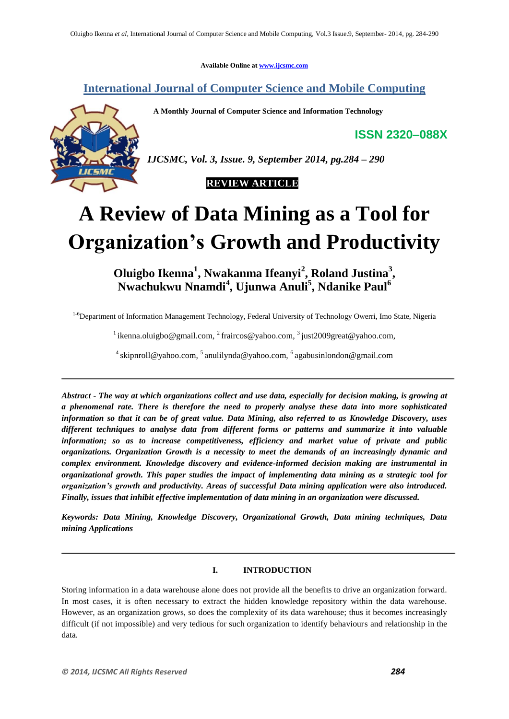**Available Online at www.ijcsmc.com**

**International Journal of Computer Science and Mobile Computing**

 **A Monthly Journal of Computer Science and Information Technology**

**ISSN 2320–088X**



*IJCSMC, Vol. 3, Issue. 9, September 2014, pg.284 – 290*

 **REVIEW ARTICLE**

# **A Review of Data Mining as a Tool for Organization's Growth and Productivity**

**Oluigbo Ikenna<sup>1</sup> , Nwakanma Ifeanyi<sup>2</sup> , Roland Justina<sup>3</sup> , Nwachukwu Nnamdi<sup>4</sup> , Ujunwa Anuli<sup>5</sup> , Ndanike Paul<sup>6</sup>**

<sup>1-6</sup>Department of Information Management Technology, Federal University of Technology Owerri, Imo State, Nigeria

<sup>1</sup> ikenna.oluigbo@gmail.com, <sup>2</sup> fraircos@yahoo.com, <sup>3</sup> just2009great@yahoo.com,

<sup>4</sup> skipnroll@yahoo.com, <sup>5</sup> anulilynda@yahoo.com, <sup>6</sup> agabusinlondon@gmail.com

*Abstract - The way at which organizations collect and use data, especially for decision making, is growing at a phenomenal rate. There is therefore the need to properly analyse these data into more sophisticated information so that it can be of great value. Data Mining, also referred to as Knowledge Discovery, uses different techniques to analyse data from different forms or patterns and summarize it into valuable information; so as to increase competitiveness, efficiency and market value of private and public organizations. Organization Growth is a necessity to meet the demands of an increasingly dynamic and complex environment. Knowledge discovery and evidence-informed decision making are instrumental in organizational growth. This paper studies the impact of implementing data mining as a strategic tool for organization's growth and productivity. Areas of successful Data mining application were also introduced. Finally, issues that inhibit effective implementation of data mining in an organization were discussed.*

*Keywords: Data Mining, Knowledge Discovery, Organizational Growth, Data mining techniques, Data mining Applications*

#### **I. INTRODUCTION**

Storing information in a data warehouse alone does not provide all the benefits to drive an organization forward. In most cases, it is often necessary to extract the hidden knowledge repository within the data warehouse. However, as an organization grows, so does the complexity of its data warehouse; thus it becomes increasingly difficult (if not impossible) and very tedious for such organization to identify behaviours and relationship in the data.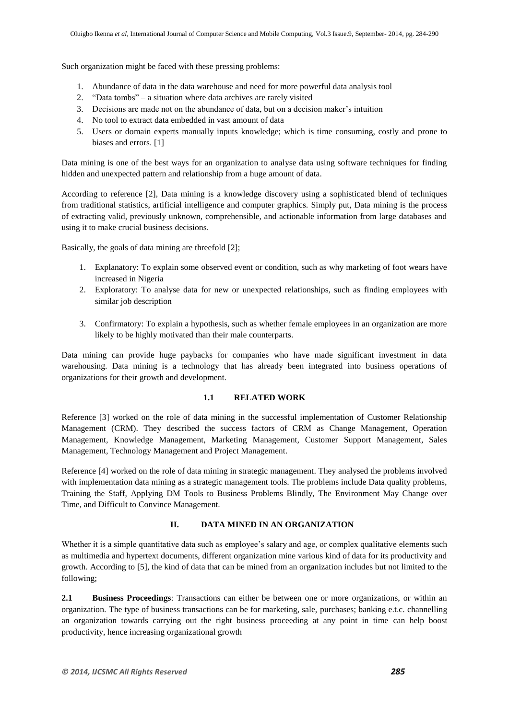Such organization might be faced with these pressing problems:

- 1. Abundance of data in the data warehouse and need for more powerful data analysis tool
- 2. "Data tombs" a situation where data archives are rarely visited
- 3. Decisions are made not on the abundance of data, but on a decision maker's intuition
- 4. No tool to extract data embedded in vast amount of data
- 5. Users or domain experts manually inputs knowledge; which is time consuming, costly and prone to biases and errors. [1]

Data mining is one of the best ways for an organization to analyse data using software techniques for finding hidden and unexpected pattern and relationship from a huge amount of data.

According to reference [2], Data mining is a knowledge discovery using a sophisticated blend of techniques from traditional statistics, artificial intelligence and computer graphics. Simply put, Data mining is the process of extracting valid, previously unknown, comprehensible, and actionable information from large databases and using it to make crucial business decisions.

Basically, the goals of data mining are threefold [2];

- 1. Explanatory: To explain some observed event or condition, such as why marketing of foot wears have increased in Nigeria
- 2. Exploratory: To analyse data for new or unexpected relationships, such as finding employees with similar job description
- 3. Confirmatory: To explain a hypothesis, such as whether female employees in an organization are more likely to be highly motivated than their male counterparts.

Data mining can provide huge paybacks for companies who have made significant investment in data warehousing. Data mining is a technology that has already been integrated into business operations of organizations for their growth and development.

## **1.1 RELATED WORK**

Reference [3] worked on the role of data mining in the successful implementation of Customer Relationship Management (CRM). They described the success factors of CRM as Change Management, Operation Management, Knowledge Management, Marketing Management, Customer Support Management, Sales Management, Technology Management and Project Management.

Reference [4] worked on the role of data mining in strategic management. They analysed the problems involved with implementation data mining as a strategic management tools. The problems include Data quality problems, Training the Staff, Applying DM Tools to Business Problems Blindly, The Environment May Change over Time, and Difficult to Convince Management.

## **II. DATA MINED IN AN ORGANIZATION**

Whether it is a simple quantitative data such as employee's salary and age, or complex qualitative elements such as multimedia and hypertext documents, different organization mine various kind of data for its productivity and growth. According to [5], the kind of data that can be mined from an organization includes but not limited to the following;

**2.1 Business Proceedings**: Transactions can either be between one or more organizations, or within an organization. The type of business transactions can be for marketing, sale, purchases; banking e.t.c. channelling an organization towards carrying out the right business proceeding at any point in time can help boost productivity, hence increasing organizational growth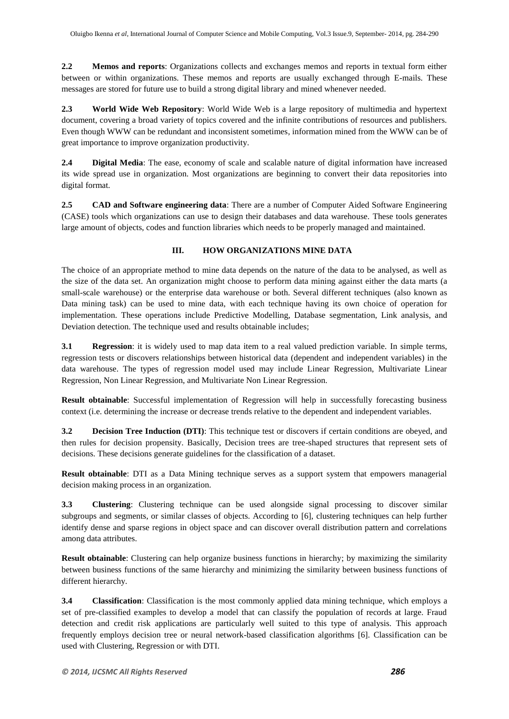**2.2 Memos and reports**: Organizations collects and exchanges memos and reports in textual form either between or within organizations. These memos and reports are usually exchanged through E-mails. These messages are stored for future use to build a strong digital library and mined whenever needed.

**2.3 World Wide Web Repository**: World Wide Web is a large repository of multimedia and hypertext document, covering a broad variety of topics covered and the infinite contributions of resources and publishers. Even though WWW can be redundant and inconsistent sometimes, information mined from the WWW can be of great importance to improve organization productivity.

**2.4 Digital Media**: The ease, economy of scale and scalable nature of digital information have increased its wide spread use in organization. Most organizations are beginning to convert their data repositories into digital format.

**2.5 CAD and Software engineering data**: There are a number of Computer Aided Software Engineering (CASE) tools which organizations can use to design their databases and data warehouse. These tools generates large amount of objects, codes and function libraries which needs to be properly managed and maintained.

# **III. HOW ORGANIZATIONS MINE DATA**

The choice of an appropriate method to mine data depends on the nature of the data to be analysed, as well as the size of the data set. An organization might choose to perform data mining against either the data marts (a small-scale warehouse) or the enterprise data warehouse or both. Several different techniques (also known as Data mining task) can be used to mine data, with each technique having its own choice of operation for implementation. These operations include Predictive Modelling, Database segmentation, Link analysis, and Deviation detection. The technique used and results obtainable includes:

**3.1 Regression**: it is widely used to map data item to a real valued prediction variable. In simple terms, regression tests or discovers relationships between historical data (dependent and independent variables) in the data warehouse. The types of regression model used may include Linear Regression, Multivariate Linear Regression, Non Linear Regression, and Multivariate Non Linear Regression.

**Result obtainable**: Successful implementation of Regression will help in successfully forecasting business context (i.e. determining the increase or decrease trends relative to the dependent and independent variables.

**3.2 Decision Tree Induction (DTI)**: This technique test or discovers if certain conditions are obeyed, and then rules for decision propensity. Basically, Decision trees are tree-shaped structures that represent sets of decisions. These decisions generate guidelines for the classification of a dataset.

**Result obtainable**: DTI as a Data Mining technique serves as a support system that empowers managerial decision making process in an organization.

**3.3 Clustering**: Clustering technique can be used alongside signal processing to discover similar subgroups and segments, or similar classes of objects. According to [6], clustering techniques can help further identify dense and sparse regions in object space and can discover overall distribution pattern and correlations among data attributes.

**Result obtainable**: Clustering can help organize business functions in hierarchy; by maximizing the similarity between business functions of the same hierarchy and minimizing the similarity between business functions of different hierarchy.

**3.4 Classification**: Classification is the most commonly applied data mining technique, which employs a set of pre-classified examples to develop a model that can classify the population of records at large. Fraud detection and credit risk applications are particularly well suited to this type of analysis. This approach frequently employs decision tree or neural network-based classification algorithms [6]. Classification can be used with Clustering, Regression or with DTI.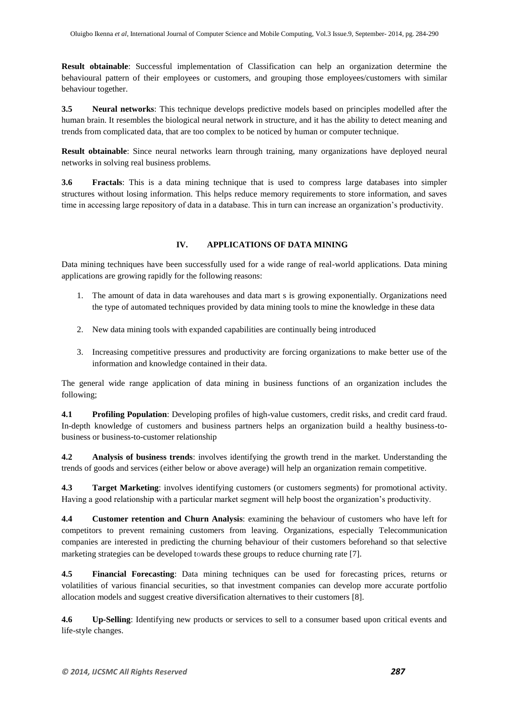**Result obtainable**: Successful implementation of Classification can help an organization determine the behavioural pattern of their employees or customers, and grouping those employees/customers with similar behaviour together.

**3.5 Neural networks**: This technique develops predictive models based on principles modelled after the human brain. It resembles the biological neural network in structure, and it has the ability to detect meaning and trends from complicated data, that are too complex to be noticed by human or computer technique.

**Result obtainable**: Since neural networks learn through training, many organizations have deployed neural networks in solving real business problems.

**3.6 Fractals**: This is a data mining technique that is used to compress large databases into simpler structures without losing information. This helps reduce memory requirements to store information, and saves time in accessing large repository of data in a database. This in turn can increase an organization's productivity.

# **IV. APPLICATIONS OF DATA MINING**

Data mining techniques have been successfully used for a wide range of real-world applications. Data mining applications are growing rapidly for the following reasons:

- 1. The amount of data in data warehouses and data mart s is growing exponentially. Organizations need the type of automated techniques provided by data mining tools to mine the knowledge in these data
- 2. New data mining tools with expanded capabilities are continually being introduced
- 3. Increasing competitive pressures and productivity are forcing organizations to make better use of the information and knowledge contained in their data.

The general wide range application of data mining in business functions of an organization includes the following;

**4.1 Profiling Population**: Developing profiles of high-value customers, credit risks, and credit card fraud. In-depth knowledge of customers and business partners helps an organization build a healthy business-tobusiness or business-to-customer relationship

**4.2 Analysis of business trends**: involves identifying the growth trend in the market. Understanding the trends of goods and services (either below or above average) will help an organization remain competitive.

**4.3 Target Marketing**: involves identifying customers (or customers segments) for promotional activity. Having a good relationship with a particular market segment will help boost the organization's productivity.

**4.4 Customer retention and Churn Analysis**: examining the behaviour of customers who have left for competitors to prevent remaining customers from leaving. Organizations, especially Telecommunication companies are interested in predicting the churning behaviour of their customers beforehand so that selective marketing strategies can be developed towards these groups to reduce churning rate [7].

**4.5 Financial Forecasting**: Data mining techniques can be used for forecasting prices, returns or volatilities of various financial securities, so that investment companies can develop more accurate portfolio allocation models and suggest creative diversification alternatives to their customers [8].

**4.6 Up-Selling**: Identifying new products or services to sell to a consumer based upon critical events and life-style changes.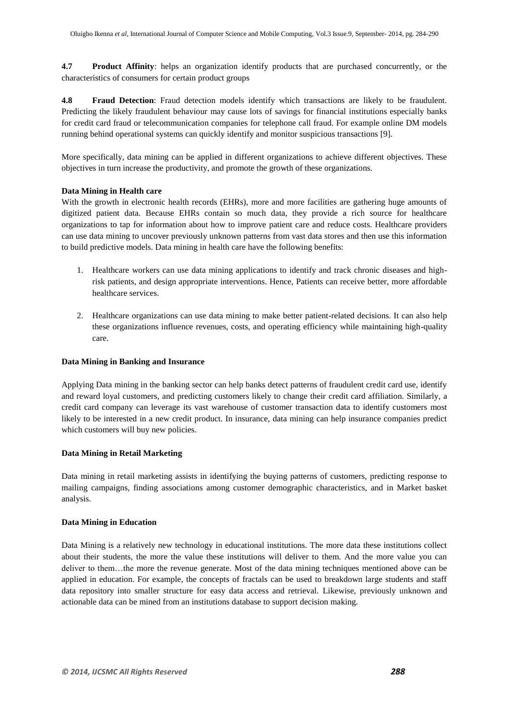**4.7 Product Affinity**: helps an organization identify products that are purchased concurrently, or the characteristics of consumers for certain product groups

**4.8 Fraud Detection**: Fraud detection models identify which transactions are likely to be fraudulent. Predicting the likely fraudulent behaviour may cause lots of savings for financial institutions especially banks for credit card fraud or telecommunication companies for telephone call fraud. For example online DM models running behind operational systems can quickly identify and monitor suspicious transactions [9].

More specifically, data mining can be applied in different organizations to achieve different objectives. These objectives in turn increase the productivity, and promote the growth of these organizations.

## **Data Mining in Health care**

With the growth in electronic health records (EHRs), more and more facilities are gathering huge amounts of digitized patient data. Because EHRs contain so much data, they provide a rich source for healthcare organizations to tap for information about how to improve patient care and reduce costs. Healthcare providers can use data mining to uncover previously unknown patterns from vast data stores and then use this information to build predictive models. Data mining in health care have the following benefits:

- 1. Healthcare workers can use data mining applications to identify and track chronic diseases and highrisk patients, and design appropriate interventions. Hence, Patients can receive better, more affordable healthcare services.
- 2. Healthcare organizations can use data mining to make better patient-related decisions. It can also help these organizations influence revenues, costs, and operating efficiency while maintaining high-quality care.

#### **Data Mining in Banking and Insurance**

Applying Data mining in the banking sector can help banks detect patterns of fraudulent credit card use, identify and reward loyal customers, and predicting customers likely to change their credit card affiliation. Similarly, a credit card company can leverage its vast warehouse of customer transaction data to identify customers most likely to be interested in a new credit product. In insurance, data mining can help insurance companies predict which customers will buy new policies.

## **Data Mining in Retail Marketing**

Data mining in retail marketing assists in identifying the buying patterns of customers, predicting response to mailing campaigns, finding associations among customer demographic characteristics, and in Market basket analysis.

## **Data Mining in Education**

Data Mining is a relatively new technology in educational institutions. The more data these institutions collect about their students, the more the value these institutions will deliver to them. And the more value you can deliver to them…the more the revenue generate. Most of the data mining techniques mentioned above can be applied in education. For example, the concepts of fractals can be used to breakdown large students and staff data repository into smaller structure for easy data access and retrieval. Likewise, previously unknown and actionable data can be mined from an institutions database to support decision making.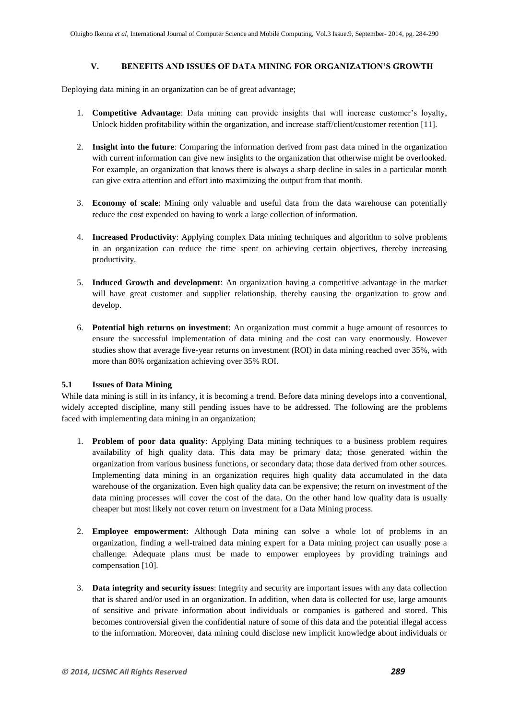## **V. BENEFITS AND ISSUES OF DATA MINING FOR ORGANIZATION'S GROWTH**

Deploying data mining in an organization can be of great advantage;

- 1. **Competitive Advantage**: Data mining can provide insights that will increase customer's loyalty, Unlock hidden profitability within the organization, and increase staff/client/customer retention [11].
- 2. **Insight into the future**: Comparing the information derived from past data mined in the organization with current information can give new insights to the organization that otherwise might be overlooked. For example, an organization that knows there is always a sharp decline in sales in a particular month can give extra attention and effort into maximizing the output from that month.
- 3. **Economy of scale**: Mining only valuable and useful data from the data warehouse can potentially reduce the cost expended on having to work a large collection of information.
- 4. **Increased Productivity**: Applying complex Data mining techniques and algorithm to solve problems in an organization can reduce the time spent on achieving certain objectives, thereby increasing productivity.
- 5. **Induced Growth and development**: An organization having a competitive advantage in the market will have great customer and supplier relationship, thereby causing the organization to grow and develop.
- 6. **Potential high returns on investment**: An organization must commit a huge amount of resources to ensure the successful implementation of data mining and the cost can vary enormously. However studies show that average five-year returns on investment (ROI) in data mining reached over 35%, with more than 80% organization achieving over 35% ROI.

## **5.1 Issues of Data Mining**

While data mining is still in its infancy, it is becoming a trend. Before data mining develops into a conventional, widely accepted discipline, many still pending issues have to be addressed. The following are the problems faced with implementing data mining in an organization;

- 1. **Problem of poor data quality**: Applying Data mining techniques to a business problem requires availability of high quality data. This data may be primary data; those generated within the organization from various business functions, or secondary data; those data derived from other sources. Implementing data mining in an organization requires high quality data accumulated in the data warehouse of the organization. Even high quality data can be expensive; the return on investment of the data mining processes will cover the cost of the data. On the other hand low quality data is usually cheaper but most likely not cover return on investment for a Data Mining process.
- 2. **Employee empowerment**: Although Data mining can solve a whole lot of problems in an organization, finding a well-trained data mining expert for a Data mining project can usually pose a challenge. Adequate plans must be made to empower employees by providing trainings and compensation [10].
- 3. **Data integrity and security issues**: Integrity and security are important issues with any data collection that is shared and/or used in an organization. In addition, when data is collected for use, large amounts of sensitive and private information about individuals or companies is gathered and stored. This becomes controversial given the confidential nature of some of this data and the potential illegal access to the information. Moreover, data mining could disclose new implicit knowledge about individuals or